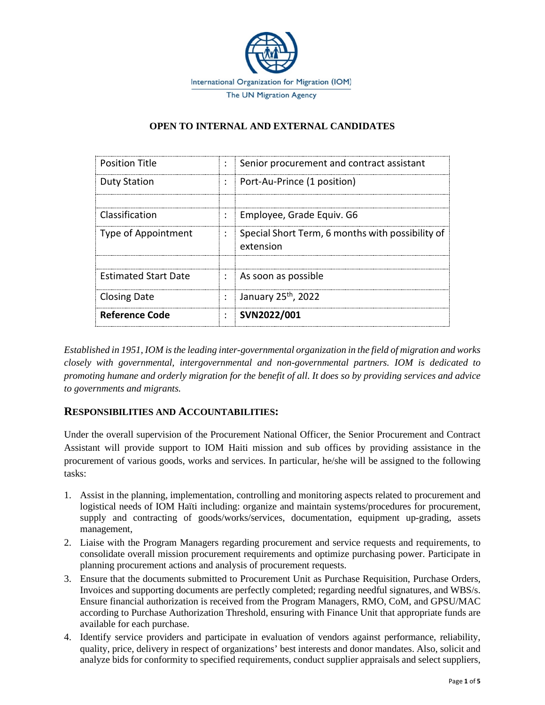

## **OPEN TO INTERNAL AND EXTERNAL CANDIDATES**

| <b>Position Title</b>       |                      | Senior procurement and contract assistant                     |
|-----------------------------|----------------------|---------------------------------------------------------------|
| <b>Duty Station</b>         | $\ddot{\phantom{a}}$ | Port-Au-Prince (1 position)                                   |
|                             |                      |                                                               |
| Classification              |                      | Employee, Grade Equiv. G6                                     |
| Type of Appointment         | ÷                    | Special Short Term, 6 months with possibility of<br>extension |
|                             |                      |                                                               |
| <b>Estimated Start Date</b> | ÷                    | As soon as possible                                           |
| <b>Closing Date</b>         |                      | January 25 <sup>th</sup> , 2022                               |
| Reference Code              |                      | SVN2022/001                                                   |

*Established in 1951, IOM is the leading inter-governmental organization in the field of migration and works closely with governmental, intergovernmental and non-governmental partners. IOM is dedicated to promoting humane and orderly migration for the benefit of all. It does so by providing services and advice to governments and migrants.*

## **RESPONSIBILITIES AND ACCOUNTABILITIES:**

Under the overall supervision of the Procurement National Officer, the Senior Procurement and Contract Assistant will provide support to IOM Haiti mission and sub offices by providing assistance in the procurement of various goods, works and services. In particular, he/she will be assigned to the following tasks:

- 1. Assist in the planning, implementation, controlling and monitoring aspects related to procurement and logistical needs of IOM Haïti including: organize and maintain systems/procedures for procurement, supply and contracting of goods/works/services, documentation, equipment up-grading, assets management,
- 2. Liaise with the Program Managers regarding procurement and service requests and requirements, to consolidate overall mission procurement requirements and optimize purchasing power. Participate in planning procurement actions and analysis of procurement requests.
- 3. Ensure that the documents submitted to Procurement Unit as Purchase Requisition, Purchase Orders, Invoices and supporting documents are perfectly completed; regarding needful signatures, and WBS/s. Ensure financial authorization is received from the Program Managers, RMO, CoM, and GPSU/MAC according to Purchase Authorization Threshold, ensuring with Finance Unit that appropriate funds are available for each purchase.
- 4. Identify service providers and participate in evaluation of vendors against performance, reliability, quality, price, delivery in respect of organizations' best interests and donor mandates. Also, solicit and analyze bids for conformity to specified requirements, conduct supplier appraisals and select suppliers,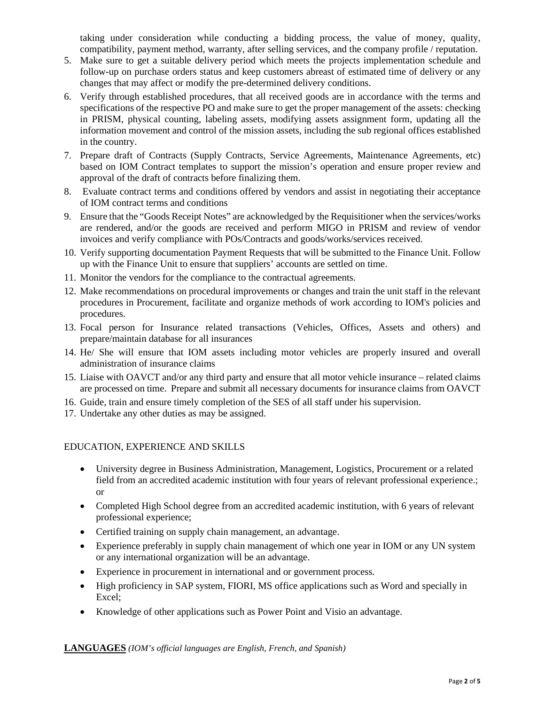taking under consideration while conducting a bidding process, the value of money, quality, compatibility, payment method, warranty, after selling services, and the company profile / reputation.

- 5. Make sure to get a suitable delivery period which meets the projects implementation schedule and follow-up on purchase orders status and keep customers abreast of estimated time of delivery or any changes that may affect or modify the pre-determined delivery conditions.
- 6. Verify through established procedures, that all received goods are in accordance with the terms and specifications of the respective PO and make sure to get the proper management of the assets: checking in PRISM, physical counting, labeling assets, modifying assets assignment form, updating all the information movement and control of the mission assets, including the sub regional offices established in the country.
- 7. Prepare draft of Contracts (Supply Contracts, Service Agreements, Maintenance Agreements, etc) based on IOM Contract templates to support the mission's operation and ensure proper review and approval of the draft of contracts before finalizing them.
- 8. Evaluate contract terms and conditions offered by vendors and assist in negotiating their acceptance of IOM contract terms and conditions
- 9. Ensure that the "Goods Receipt Notes" are acknowledged by the Requisitioner when the services/works are rendered, and/or the goods are received and perform MIGO in PRISM and review of vendor invoices and verify compliance with POs/Contracts and goods/works/services received.
- 10. Verify supporting documentation Payment Requests that will be submitted to the Finance Unit. Follow up with the Finance Unit to ensure that suppliers' accounts are settled on time.
- 11. Monitor the vendors for the compliance to the contractual agreements.
- 12. Make recommendations on procedural improvements or changes and train the unit staff in the relevant procedures in Procurement, facilitate and organize methods of work according to IOM's policies and procedures.
- 13. Focal person for Insurance related transactions (Vehicles, Offices, Assets and others) and prepare/maintain database for all insurances
- 14. He/ She will ensure that IOM assets including motor vehicles are properly insured and overall administration of insurance claims
- 15. Liaise with OAVCT and/or any third party and ensure that all motor vehicle insurance related claims are processed on time. Prepare and submit all necessary documents for insurance claims from OAVCT
- 16. Guide, train and ensure timely completion of the SES of all staff under his supervision.
- 17. Undertake any other duties as may be assigned.

#### EDUCATION, EXPERIENCE AND SKILLS

- University degree in Business Administration, Management, Logistics, Procurement or a related field from an accredited academic institution with four years of relevant professional experience.; or
- Completed High School degree from an accredited academic institution, with 6 years of relevant professional experience;
- Certified training on supply chain management, an advantage.
- Experience preferably in supply chain management of which one year in IOM or any UN system or any international organization will be an advantage.
- Experience in procurement in international and or government process.
- High proficiency in SAP system, FIORI, MS office applications such as Word and specially in Excel;
- Knowledge of other applications such as Power Point and Visio an advantage.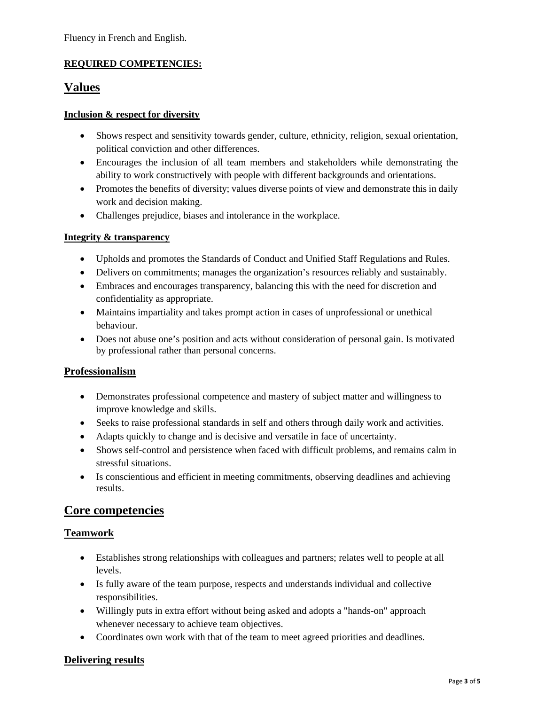## **REQUIRED COMPETENCIES:**

# **Values**

#### **Inclusion & respect for diversity**

- Shows respect and sensitivity towards gender, culture, ethnicity, religion, sexual orientation, political conviction and other differences.
- Encourages the inclusion of all team members and stakeholders while demonstrating the ability to work constructively with people with different backgrounds and orientations.
- Promotes the benefits of diversity; values diverse points of view and demonstrate this in daily work and decision making.
- Challenges prejudice, biases and intolerance in the workplace.

#### **Integrity & transparency**

- Upholds and promotes the Standards of Conduct and Unified Staff Regulations and Rules.
- Delivers on commitments; manages the organization's resources reliably and sustainably.
- Embraces and encourages transparency, balancing this with the need for discretion and confidentiality as appropriate.
- Maintains impartiality and takes prompt action in cases of unprofessional or unethical behaviour.
- Does not abuse one's position and acts without consideration of personal gain. Is motivated by professional rather than personal concerns.

## **Professionalism**

- Demonstrates professional competence and mastery of subject matter and willingness to improve knowledge and skills.
- Seeks to raise professional standards in self and others through daily work and activities.
- Adapts quickly to change and is decisive and versatile in face of uncertainty.
- Shows self-control and persistence when faced with difficult problems, and remains calm in stressful situations.
- Is conscientious and efficient in meeting commitments, observing deadlines and achieving results.

## **Core competencies**

## **Teamwork**

- Establishes strong relationships with colleagues and partners; relates well to people at all levels.
- Is fully aware of the team purpose, respects and understands individual and collective responsibilities.
- Willingly puts in extra effort without being asked and adopts a "hands-on" approach whenever necessary to achieve team objectives.
- Coordinates own work with that of the team to meet agreed priorities and deadlines.

## **Delivering results**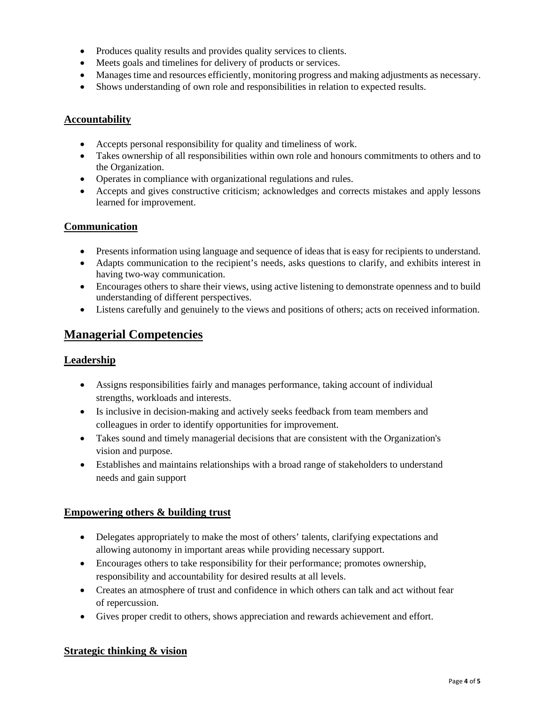- Produces quality results and provides quality services to clients.
- Meets goals and timelines for delivery of products or services.
- Manages time and resources efficiently, monitoring progress and making adjustments as necessary.
- Shows understanding of own role and responsibilities in relation to expected results.

#### **Accountability**

- Accepts personal responsibility for quality and timeliness of work.
- Takes ownership of all responsibilities within own role and honours commitments to others and to the Organization.
- Operates in compliance with organizational regulations and rules.
- Accepts and gives constructive criticism; acknowledges and corrects mistakes and apply lessons learned for improvement.

## **Communication**

- Presents information using language and sequence of ideas that is easy for recipients to understand.
- Adapts communication to the recipient's needs, asks questions to clarify, and exhibits interest in having two-way communication.
- Encourages others to share their views, using active listening to demonstrate openness and to build understanding of different perspectives.
- Listens carefully and genuinely to the views and positions of others; acts on received information.

# **Managerial Competencies**

#### **Leadership**

- Assigns responsibilities fairly and manages performance, taking account of individual strengths, workloads and interests.
- Is inclusive in decision-making and actively seeks feedback from team members and colleagues in order to identify opportunities for improvement.
- Takes sound and timely managerial decisions that are consistent with the Organization's vision and purpose.
- Establishes and maintains relationships with a broad range of stakeholders to understand needs and gain support

## **Empowering others & building trust**

- Delegates appropriately to make the most of others' talents, clarifying expectations and allowing autonomy in important areas while providing necessary support.
- Encourages others to take responsibility for their performance; promotes ownership, responsibility and accountability for desired results at all levels.
- Creates an atmosphere of trust and confidence in which others can talk and act without fear of repercussion.
- Gives proper credit to others, shows appreciation and rewards achievement and effort.

## **Strategic thinking & vision**